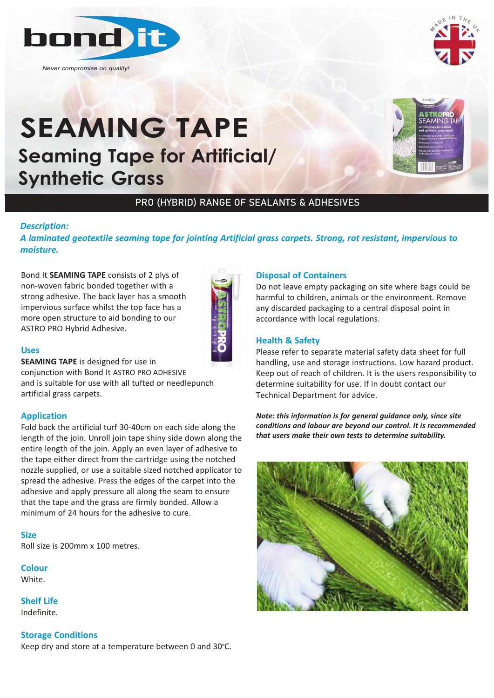

*Never compromise on quality!*



# **SEAMING TAPE Seaming Tape for Artificial/ Synthetic Grass Synthetic Grass**<br>PRO (F



## PRO (HYBRID) RANGE OF SEALANTS & ADHESIVES

## *Description:*

*A laminated geotextile seaming tape for jointing Artificial grass carpets. Strong, rot resistant, impervious to moisture.* 

Bond It **SEAMING TAPE** consists of 2 plys of non-woven fabric bonded together with a strong adhesive. The back layer has a smooth impervious surface whilst the top face has a more open structure to aid bonding to our ASTRO PRO Hybrid Adhesive.



### **Uses**

**SEAMING TAPE** is designed for use in conjunction with Bond It ASTRO PRO ADHESIVE and is suitable for use with all tufted or needlepunch artificial grass carpets.

## **Application**

Fold back the artificial turf 30-40cm on each side along the length of the join. Unroll join tape shiny side down along the entire length of the join. Apply an even layer of adhesive to the tape either direct from the cartridge using the notched nozzle supplied, or use a suitable sized notched applicator to spread the adhesive. Press the edges of the carpet into the adhesive and apply pressure all along the seam to ensure that the tape and the grass are firmly bonded. Allow a minimum of 24 hours for the adhesive to cure.

#### **Size**

Roll size is 200mm x 100 metres.

## **Colour**

White.

**Shelf Life** Indefinite.

## **Storage Conditions**

Keep dry and store at a temperature between 0 and 30°C.

#### **Disposal of Containers**

Do not leave empty packaging on site where bags could be harmful to children, animals or the environment. Remove any discarded packaging to a central disposal point in accordance with local regulations.

## **Health & Safety**

Please refer to separate material safety data sheet for full handling, use and storage instructions. Low hazard product. Keep out of reach of children. It is the users responsibility to determine suitability for use. If in doubt contact our Technical Department for advice.

*Note: this information is for general guidance only, since site conditions and labour are beyond our control. It is recommended that users make their own tests to determine suitability.*